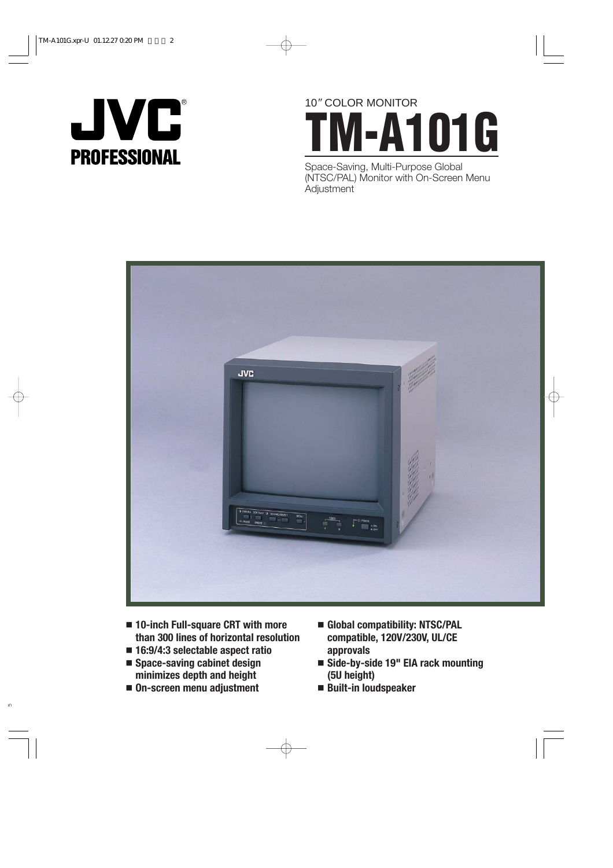

# 10*"* COLOR MONITOR **TM-A101G**

Space-Saving, Multi-Purpose Global (NTSC/PAL) Monitor with On-Screen Menu **Adjustment** 



- **10-inch Full-square CRT with more than 300 lines of horizontal resolution**
- **16:9/4:3 selectable aspect ratio**
- **Space-saving cabinet design minimizes depth and height**
- **On-screen menu adjustment**
- **Global compatibility: NTSC/PAL compatible, 120V/230V, UL/CE approvals**
- **Side-by-side 19" EIA rack mounting (5U height)**
- **Built-in loudspeaker**